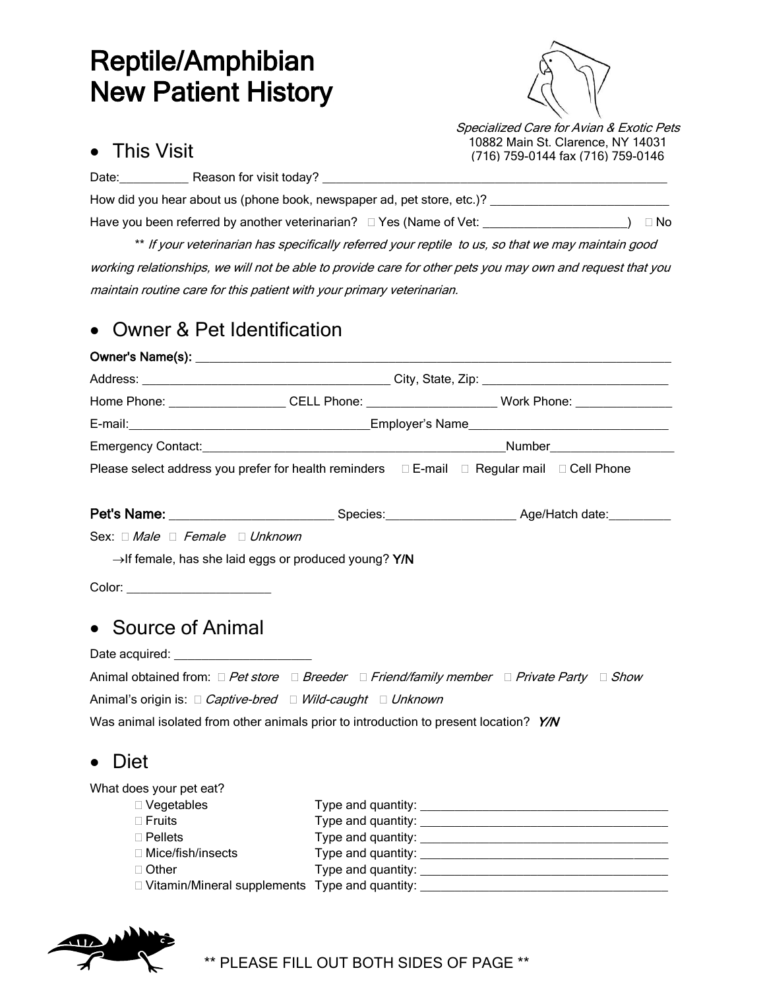# Reptile/Amphibian New Patient History



10882 Main St. Clarence, NY 14031 (716) 759-0144 fax (716) 759-0146

#### This Visit

Date: \_\_\_\_\_\_\_\_\_\_\_\_\_\_\_\_ Reason for visit today?

How did you hear about us (phone book, newspaper ad, pet store, etc.)? Have you been referred by another veterinarian?  $\Box$  Yes (Name of Vet: \_\_\_\_\_\_\_\_\_\_\_\_\_\_\_\_\_\_\_\_\_\_\_\_)  $\Box$  No

\*\* If your veterinarian has specifically referred your reptile to us, so that we may maintain good working relationships, we will not be able to provide care for other pets you may own and request that you maintain routine care for this patient with your primary veterinarian.

### Owner & Pet Identification

|                                                                                       |                    |                                                                                                                 | Home Phone: _____________________CELL Phone: _________________________Work Phone: __________________ |  |
|---------------------------------------------------------------------------------------|--------------------|-----------------------------------------------------------------------------------------------------------------|------------------------------------------------------------------------------------------------------|--|
|                                                                                       |                    | E-mail: 2008. [2018] Employer's Name 2008. [2018] Manual Leonard Manual Leonard Manual Leonard Manual Leonard M |                                                                                                      |  |
|                                                                                       |                    |                                                                                                                 |                                                                                                      |  |
|                                                                                       |                    |                                                                                                                 | Please select address you prefer for health reminders  □ E-mail □ Regular mail □ Cell Phone          |  |
|                                                                                       |                    |                                                                                                                 |                                                                                                      |  |
| Sex: Male Female Unknown                                                              |                    |                                                                                                                 |                                                                                                      |  |
| $\rightarrow$ If female, has she laid eggs or produced young? Y/N                     |                    |                                                                                                                 |                                                                                                      |  |
| Color: ________________________                                                       |                    |                                                                                                                 |                                                                                                      |  |
|                                                                                       |                    |                                                                                                                 |                                                                                                      |  |
| • Source of Animal                                                                    |                    |                                                                                                                 |                                                                                                      |  |
| Date acquired: <b>Example 2014</b>                                                    |                    |                                                                                                                 |                                                                                                      |  |
|                                                                                       |                    |                                                                                                                 | Animal obtained from: □ Pet store □ Breeder □ Friend/family member □ Private Party □ Show            |  |
| Animal's origin is: □ Captive-bred □ Wild-caught □ Unknown                            |                    |                                                                                                                 |                                                                                                      |  |
| Was animal isolated from other animals prior to introduction to present location? Y/N |                    |                                                                                                                 |                                                                                                      |  |
| • Diet                                                                                |                    |                                                                                                                 |                                                                                                      |  |
| What does your pet eat?                                                               |                    |                                                                                                                 |                                                                                                      |  |
| $\Box$ Vegetables                                                                     |                    |                                                                                                                 |                                                                                                      |  |
| $\Box$ Fruits                                                                         |                    |                                                                                                                 |                                                                                                      |  |
| $\Box$ Pellets                                                                        | Type and quantity: |                                                                                                                 |                                                                                                      |  |

 Mice/fish/insects Type and quantity: \_\_\_\_\_\_\_\_\_\_\_\_\_\_\_\_\_\_\_\_\_\_\_\_\_\_\_\_\_\_\_\_\_\_\_\_ □ Other Type and quantity: <u>we are all</u> the contract of the contract of the contract of the contract of the contract of the contract of the contract of the contract of the contract of the contract of the contract of the c □ Vitamin/Mineral supplements Type and quantity: \_\_\_\_\_\_\_\_\_\_\_\_\_\_\_\_\_\_\_\_\_\_\_\_\_\_\_\_\_\_\_



\*\* PLEASE FILL OUT BOTH SIDES OF PAGE \*\*